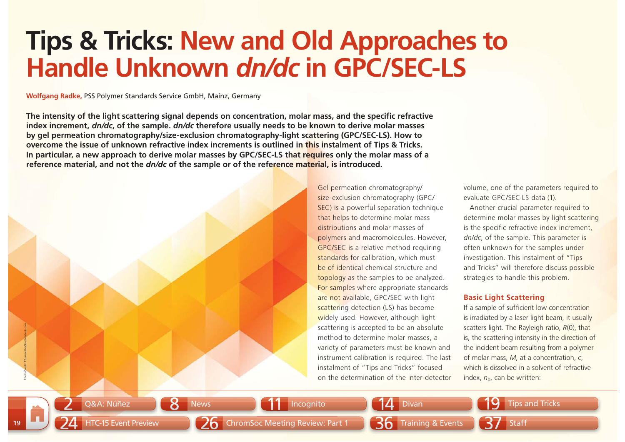# **Tips & Tricks: New and Old Approaches to Handle Unknown** *dn/dc* **in GPC/SEC-LS**

**Wolfgang Radke,** PSS Polymer Standards Service GmbH, Mainz, Germany

The intensity of the light scattering signal depends on concentration, molar mass, and the specific refractive **index increment,** *dn/dc***, of the sample.** *dn/dc* **therefore usually needs to be known to derive molar masses by gel permeation chromatography/size-exclusion chromatography-light scattering (GPC/SEC-LS). How to overcome the issue of unknown refractive index increments is outlined in this instalment of Tips & Tricks. In particular, a new approach to derive molar masses by GPC/SEC-LS that requires only the molar mass of a reference material, and not the** *dn/dc* **of the sample or of the reference material, is introduced.**

Gel permeation chromatography/ size-exclusion chromatography (GPC/ SEC) is a powerful separation technique that helps to determine molar mass distributions and molar masses of polymers and macromolecules. However, GPC/SEC is a relative method requiring standards for calibration, which must be of identical chemical structure and topology as the samples to be analyzed. For samples where appropriate standards are not available, GPC/SEC with light scattering detection (LS) has become widely used. However, although light scattering is accepted to be an absolute method to determine molar masses, a variety of parameters must be known and instrument calibration is required. The last instalment of "Tips and Tricks" focused on the determination of the inter-detector scattering is accepted to be an absolute scatters light. The Rayleig<br>method to determine molar masses, a<br>is, the scattering intensity<br>variety of parameters must be known and the incident beam resultir<br>instrument calibratio

volume, one of the parameters required to evaluate GPC/SEC-LS data (1).

Another crucial parameter required to determine molar masses by light scattering is the specific refractive index increment, *dn/dc*, of the sample. This parameter is often unknown for the samples under investigation. This instalment of "Tips and Tricks" will therefore discuss possible strategies to handle this problem.

## **Basic Light Scattering**

If a sample of sufficient low concentration is irradiated by a laser light beam, it usually scatters light. The Rayleigh ratio, *R*(0), that is, the scattering intensity in the direction of the incident beam resulting from a polymer of molar mass, *M*, at a concentration, *<sup>c</sup>*, which is dissolved in a solvent of refractive

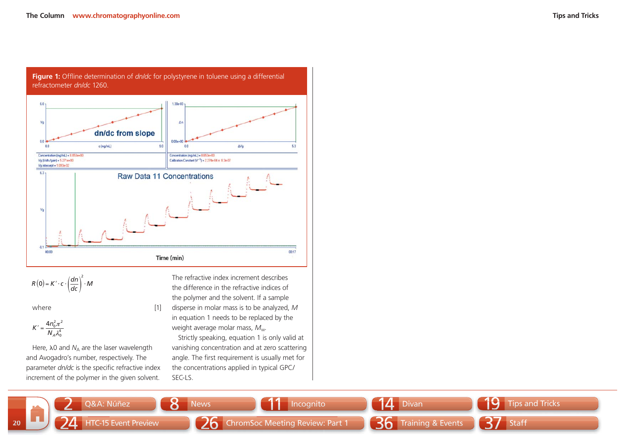

Figure 1: Offline determination of *dn/dc* for polystyrene in toluene using a differential

$$
R(0) = K' \cdot c \cdot \left(\frac{dn}{dc}\right)^2 \cdot M
$$

where [1]

$$
K'=\frac{4n_0^2\pi^2}{N_A\lambda_0^4}
$$

Here,  $\lambda$ 0 and  $N_A$  are the laser wavelength and Avogadro's number, respectively. The parameter *dn/dc* is the specific refractive index increment of the polymer in the given solvent.

The refractive index increment describes the difference in the refractive indices of the polymer and the solvent. If a sample disperse in molar mass is to be analyzed, *M* in equation 1 needs to be replaced by the weight average molar mass, *M*w.

Strictly speaking, equation 1 is only valid at vanishing concentration and at zero scattering angle. The first requirement is usually met for the concentrations applied in typical GPC/ SEC-LS.

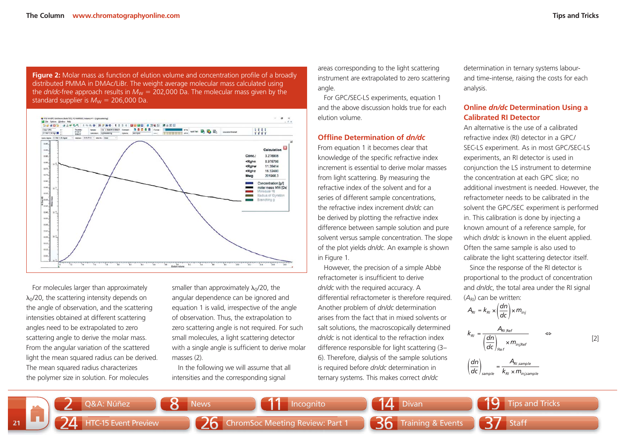**Figure 2:** Molar mass as function of elution volume and concentration profile of a broadly distributed PMMA in DMAc/LiBr. The weight average molecular mass calculated using the *dn/dc*-free approach results in  $M_W = 202,000$  Da. The molecular mass given by the standard supplier is  $\mathcal{M}_{\mathsf{W}} = 206,\!000$  Da.



For molecules larger than approximately  $\lambda_0$ /20, the scattering intensity depends on the angle of observation, and the scattering intensities obtained at different scattering angles need to be extrapolated to zero scattering angle to derive the molar mass. From the angular variation of the scattered light the mean squared radius can be derived. The mean squared radius characterizes the polymer size in solution. For molecules

smaller than approximately  $\lambda_0$ /20, the angular dependence can be ignored and equation 1 is valid, irrespective of the angle of observation. Thus, the extrapolation to zero scattering angle is not required. For such small molecules, a light scattering detector with a single angle is sufficient to derive molar masses (2).

In the following we will assume that all intensities and the corresponding signal

areas corresponding to the light scattering instrument are extrapolated to zero scattering angle.

For GPC/SEC-LS experiments, equation 1 and the above discussion holds true for each elution volume.

#### **Offline Determination of** *dn/dc*

From equation 1 it becomes clear that knowledge of the specific refractive index increment is essential to derive molar masses from light scattering. By measuring the refractive index of the solvent and for a series of different sample concentrations, the refractive index increment *dn/dc* can be derived by plotting the refractive index difference between sample solution and pure solvent versus sample concentration. The slope of the plot yields *dn/dc*. An example is shown in Figure 1.

However, the precision of a simple Abbè refractometer is insufficient to derive *dn/dc* with the required accuracy. A differential refractometer is therefore required. Another problem of *dn/dc* determination arises from the fact that in mixed solvents or salt solutions, the macroscopically determined *dn/dc* is not identical to the refraction index difference responsible for light scattering (3– 6). Therefore, dialysis of the sample solutions is required before *dn/dc* determination in ternary systems. This makes correct *dn/dc*

determination in ternary systems labourand time-intense, raising the costs for each analysis.

## **Online** *dn/dc* **Determination Using a Calibrated RI Detector**

An alternative is the use of a calibrated refractive index (RI) detector in a GPC/ SEC-LS experiment. As in most GPC/SEC-LS experiments, an RI detector is used in conjunction the LS instrument to determine the concentration at each GPC slice; no additional investment is needed. However, the refractometer needs to be calibrated in the solvent the GPC/SEC experiment is performed in. This calibration is done by injecting a known amount of a reference sample, for which *dn/dc* is known in the eluent applied. Often the same sample is also used to calibrate the light scattering detector itself.

Since the response of the RI detector is proportional to the product of concentration and *dn/dc*, the total area under the RI signal  $(A_{\text{RI}})$  can be written:

$$
A_{RI} = k_{RI} \times \left(\frac{dn}{dc}\right) \times m_{inj}
$$
  

$$
k_{RI} = \frac{A_{RI,Ref}}{\left(\frac{dn}{dc}\right)_{Ref}} \times m_{inj,Ref}
$$
  $\Leftrightarrow$ 

 $m_{\scriptscriptstyle inj, {\rm Ref}}$ 

[2]

$$
\left(\frac{dn}{dc}\right)_{\text{sample}} = \frac{A_{\text{RI,sample}}}{k_{\text{RI}} \times m_{\text{inj,sample}}}
$$

**21**19**Tips and Tricks** 24HTC-15 Event Preview **126** ChromSoc Meeting Review: Part 1 ChromSoc Meeting Review: Part 36 Training & Events Training Training & 37 Staff 22 Q&A: Núñez **8 News 11 Incognito** 14 Divan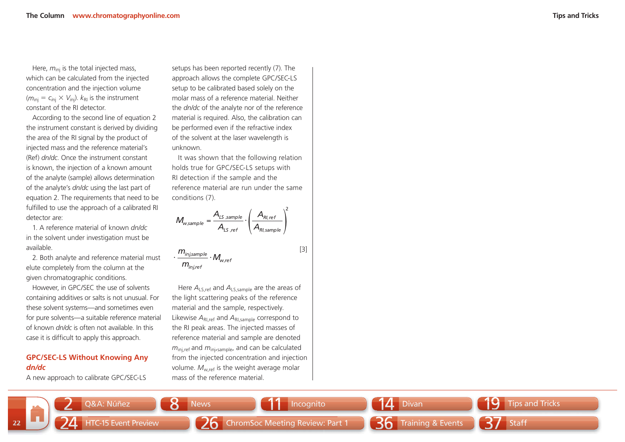Here,  $m_{\text{ini}}$  is the total injected mass, which can be calculated from the injected concentration and the injection volume  $(m_{\text{ini}} = c_{\text{ini}} \times V_{\text{ini}})$ .  $k_{\text{RI}}$  is the instrument constant of the RI detector.

According to the second line of equation 2 the instrument constant is derived by dividing the area of the RI signal by the product of injected mass and the reference material's (Ref) *dn/dc*. Once the instrument constant is known, the injection of a known amount of the analyte (sample) allows determination of the analyte's *dn/dc* using the last part of equation 2. The requirements that need to be fulfilled to use the approach of a calibrated RI detector are:

1. A reference material of known *dn/dc*in the solvent under investigation must be available.

2. Both analyte and reference material must elute completely from the column at the given chromatographic conditions.

However, in GPC/SEC the use of solvents containing additives or salts is not unusual. For these solvent systems—and sometimes even for pure solvents—a suitable reference material of known *dn/dc* is often not available. In this case it is difficult to apply this approach.

### **GPC/SEC-LS Without Knowing Any**  *dn/dc*

A new approach to calibrate GPC/SEC-LS

setups has been reported recently (7). The approach allows the complete GPC/SEC-LS setup to be calibrated based solely on the molar mass of a reference material. Neither the *dn/dc* of the analyte nor of the reference material is required. Also, the calibration can be performed even if the refractive index of the solvent at the laser wavelength is unknown.

It was shown that the following relation holds true for GPC/SEC-LS setups with RI detection if the sample and the reference material are run under the same conditions (7).

*RI sample RI refLS ref LS sample*  $W$ , sample  $\overline{A}$ <sub>*I*S ref</sub>  $\overline{A}$ *A* $M_{\text{w sample}} = \frac{A}{A}$ 2, = $=\frac{A_{LS\, sample}}{A_{LS\, ref}}\cdot\left(\frac{A_{Rl, ref}}{A_{Rl, sample}}\right)$ 

 $\frac{$ i n j,sample}{w\_{w,ref}}  $\cdot$   $M_{w,ref}$  $m_{\scriptscriptstyle inj, ref}$ *m*

Here *A*LS,ref and *A*LS,sample are the areas of the light scattering peaks of the reference material and the sample, respectively. Likewise  $A_{\text{RLref}}$  and  $A_{\text{RLsample}}$  correspond to the RI peak areas. The injected masses of reference material and sample are denoted *m*<sub>ini ref</sub> and *m*<sub>ini,sample, and can be calculated</sub> from the injected concentration and injection volume.  $M_{\text{wref}}$  is the weight average molar mass of the reference material.



[3]